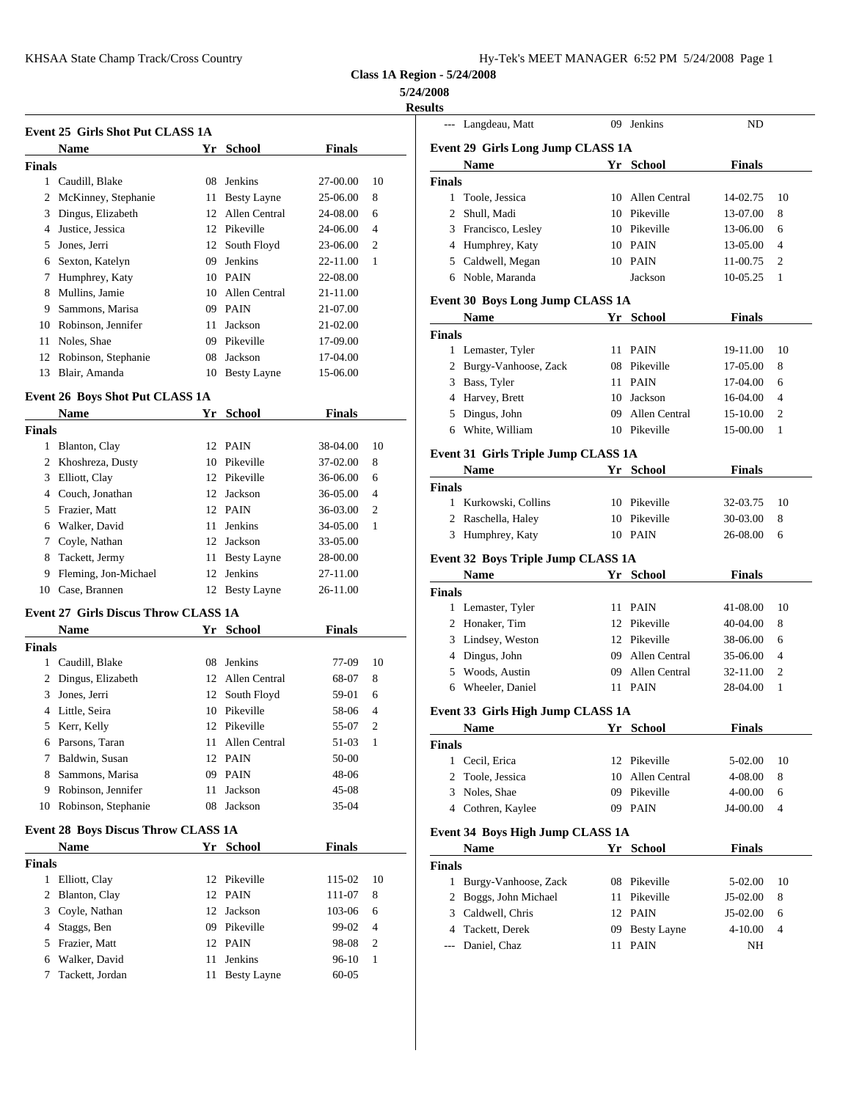|--|--|--|--|

**Class 1A Region - 5/24/2008**

## **5/24/2008**

|               |                                             |    |                    |               | <b>Results</b> |                          |
|---------------|---------------------------------------------|----|--------------------|---------------|----------------|--------------------------|
|               | Event 25 Girls Shot Put CLASS 1A            |    |                    |               |                | --- Lango                |
|               | Name                                        | Yr | <b>School</b>      | <b>Finals</b> |                | Event 29 G               |
| <b>Finals</b> |                                             |    |                    |               |                | Nam                      |
|               | 1 Caudill, Blake                            | 08 | Jenkins            | 27-00.00      | 10             | <b>Finals</b>            |
|               | 2 McKinney, Stephanie                       |    | 11 Besty Layne     | 25-06.00      | 8              | Toole<br>1               |
| 3             | Dingus, Elizabeth                           | 12 | Allen Central      | 24-08.00      | 6              | $\overline{2}$<br>Shull, |
|               | 4 Justice, Jessica                          |    | 12 Pikeville       | 24-06.00      | $\overline{4}$ | 3<br>Franc               |
| 5             | Jones, Jerri                                |    | 12 South Floyd     | 23-06.00      | 2              | 4 Hump                   |
| 6             | Sexton, Katelyn                             | 09 | Jenkins            | 22-11.00      | 1              | 5<br>Caldy               |
|               | 7 Humphrey, Katy                            |    | 10 PAIN            | 22-08.00      |                | 6 Noble                  |
| 8             | Mullins, Jamie                              |    | 10 Allen Central   | 21-11.00      |                |                          |
| 9             | Sammons, Marisa                             |    | 09 PAIN            | 21-07.00      |                | Event 30 B               |
| 10            | Robinson, Jennifer                          | 11 | Jackson            | 21-02.00      |                | Nam                      |
| 11            | Noles, Shae                                 | 09 | Pikeville          | 17-09.00      |                | <b>Finals</b>            |
| 12            | Robinson, Stephanie                         | 08 | Jackson            | 17-04.00      |                | 1 Lema                   |
| 13            | Blair, Amanda                               |    | 10 Besty Layne     | 15-06.00      |                | 2<br><b>Burgy</b>        |
|               |                                             |    |                    |               |                | Bass.<br>3               |
|               | <b>Event 26 Boys Shot Put CLASS 1A</b>      |    |                    |               |                | Harve<br>$\overline{4}$  |
|               | Name                                        | Yr | <b>School</b>      | <b>Finals</b> |                | Dingt<br>5               |
| <b>Finals</b> |                                             |    |                    |               |                | White<br>6               |
|               | 1 Blanton, Clay                             |    | 12 PAIN            | 38-04.00      | 10             | Event 31 G               |
|               | 2 Khoshreza, Dusty                          |    | 10 Pikeville       | 37-02.00      | 8              | Nam                      |
| 3             | Elliott, Clay                               |    | 12 Pikeville       | 36-06.00      | 6              | <b>Finals</b>            |
|               | 4 Couch, Jonathan                           |    | 12 Jackson         | 36-05.00      | 4              | 1 Kurko                  |
|               | 5 Frazier, Matt                             |    | 12 PAIN            | 36-03.00      | 2              | 2<br>Rasch               |
|               | 6 Walker, David                             |    | 11 Jenkins         | 34-05.00      | 1              | 3<br>Hump                |
| 7             | Coyle, Nathan                               |    | 12 Jackson         | 33-05.00      |                |                          |
| 8             | Tackett, Jermy                              | 11 | <b>Besty Layne</b> | 28-00.00      |                | Event 32 B               |
| 9             | Fleming, Jon-Michael                        | 12 | Jenkins            | 27-11.00      |                | <b>Nam</b>               |
|               | 10 Case, Brannen                            |    | 12 Besty Layne     | 26-11.00      |                | <b>Finals</b>            |
|               | <b>Event 27 Girls Discus Throw CLASS 1A</b> |    |                    |               |                | 1 Lema                   |
|               | Name                                        |    | Yr School          | <b>Finals</b> |                | 2<br>Honal               |
| <b>Finals</b> |                                             |    |                    |               |                | 3<br>Linds               |
|               | 1 Caudill, Blake                            | 08 | Jenkins            | 77-09         | 10             | Dingt<br>4               |
|               | 2 Dingus, Elizabeth                         |    | 12 Allen Central   | 68-07         | 8              | 5<br>Wood<br>Whee        |
| 3             | Jones, Jerri                                |    | 12 South Floyd     | 59-01         | 6              | 6                        |
|               | 4 Little, Seira                             |    | 10 Pikeville       | 58-06         | 4              | Event 33 G               |
|               | 5 Kerr, Kelly                               |    | 12 Pikeville       | 55-07         | 2              | Nam                      |
|               | 6 Parsons, Taran                            | 11 | Allen Central      | 51-03         | 1              | <b>Finals</b>            |
| 7             | Baldwin, Susan                              |    | 12 PAIN            | 50-00         |                | 1 Cecil.                 |
| 8             | Sammons, Marisa                             |    | 09 PAIN            | 48-06         |                | 2<br>Toole               |
|               | 9 Robinson, Jennifer                        |    | 11 Jackson         | 45-08         |                | 3<br><b>Noles</b>        |
|               | 10 Robinson, Stephanie                      |    | 08 Jackson         | 35-04         |                | Cothr<br>$\overline{4}$  |
|               | Event 28 Boys Discus Throw CLASS 1A         |    |                    |               |                | Event 34 B               |
|               | Name                                        |    | Yr School          | <b>Finals</b> |                | Nam                      |
| <b>Finals</b> |                                             |    |                    |               |                | Finals                   |
|               | 1 Elliott, Clay                             |    | 12 Pikeville       | 115-02        | 10             | 1 Burgy                  |
|               | 2 Blanton, Clay                             |    | 12 PAIN            | 111-07        | 8              | Bogg:<br>2               |
|               | 3 Coyle, Nathan                             |    | 12 Jackson         | 103-06        | 6              | 3 Caldv                  |

 Staggs, Ben 09 Pikeville 99-02 4 Frazier, Matt 12 PAIN 98-08 2 Walker, David 11 Jenkins 96-10 1 Tackett, Jordan 11 Besty Layne 60-05

| 4/2008<br>esults |                                      |                  |               |                |
|------------------|--------------------------------------|------------------|---------------|----------------|
|                  | --- Langdeau, Matt                   | 09 Jenkins       | ND            |                |
|                  | Event 29 Girls Long Jump CLASS 1A    |                  |               |                |
|                  | Name                                 | Yr School        | <b>Finals</b> |                |
| <b>Finals</b>    |                                      |                  |               |                |
|                  | 1 Toole, Jessica                     | 10 Allen Central | 14-02.75      | 10             |
|                  | 2 Shull, Madi                        | 10 Pikeville     | 13-07.00      | 8              |
|                  | 3 Francisco, Lesley                  | 10 Pikeville     | 13-06.00      | 6              |
|                  | 4 Humphrey, Katy                     | 10 PAIN          | 13-05.00      | 4              |
|                  | 5 Caldwell, Megan                    | 10 PAIN          | 11-00.75      | 2              |
|                  | 6 Noble, Maranda                     | Jackson          | 10-05.25      | 1              |
|                  | Event 30 Boys Long Jump CLASS 1A     |                  |               |                |
|                  | <b>Name</b>                          | Yr School        | <b>Finals</b> |                |
| <b>Finals</b>    |                                      |                  |               |                |
|                  | 1 Lemaster, Tyler                    | 11 PAIN          | 19-11.00      | 10             |
|                  | 2 Burgy-Vanhoose, Zack               | 08 Pikeville     | 17-05.00      | 8              |
|                  | 3 Bass, Tyler                        | 11 PAIN          | 17-04.00      | 6              |
|                  | 4 Harvey, Brett                      | 10 Jackson       | 16-04.00      | $\overline{4}$ |
|                  | 5 Dingus, John                       | 09 Allen Central | 15-10.00      | 2              |
|                  | 6 White, William                     | 10 Pikeville     | 15-00.00      | 1              |
|                  |                                      |                  |               |                |
|                  | Event 31 Girls Triple Jump CLASS 1A  |                  |               |                |
|                  | Name                                 | Yr School        | <b>Finals</b> |                |
| <b>Finals</b>    |                                      |                  |               |                |
|                  | 1 Kurkowski, Collins                 | 10 Pikeville     | 32-03.75      | 10             |
|                  | 2 Raschella, Haley                   | 10 Pikeville     | 30-03.00      | 8              |
|                  | 3 Humphrey, Katy                     | 10 PAIN          | 26-08.00      | 6              |
|                  | Event 32 Boys Triple Jump CLASS 1A   |                  |               |                |
|                  | Name                                 | Yr School        | <b>Finals</b> |                |
| <b>Finals</b>    |                                      |                  |               |                |
|                  | 1 Lemaster, Tyler                    | 11 PAIN          | 41-08.00      | 10             |
|                  | 2 Honaker, Tim                       | 12 Pikeville     | 40-04.00      | 8              |
|                  | 3 Lindsey, Weston                    | 12 Pikeville     | 38-06.00      | 6              |
|                  | 4 Dingus, John                       | 09 Allen Central | 35-06.00      | $\overline{4}$ |
|                  | 5 Woods, Austin                      | 09 Allen Central | 32-11.00      | 2              |
|                  | 6 Wheeler, Daniel                    | 11 PAIN          | 28-04.00      | 1              |
|                  | Event 33 Girls High Jump CLASS 1A    |                  |               |                |
|                  | Name                                 | Yr School        | <b>Finals</b> |                |
| <b>Finals</b>    |                                      |                  |               |                |
|                  | 1 Cecil, Erica                       | 12 Pikeville     | 5-02.00       | 10             |
|                  | 2 Toole, Jessica                     | 10 Allen Central | 4-08.00       |                |
|                  | 3 Noles, Shae                        |                  |               | 8              |
|                  |                                      | 09 Pikeville     | 4-00.00       | 6              |
|                  | 4 Cothren, Kaylee                    | 09 PAIN          | J4-00.00      | $\overline{4}$ |
|                  | Event 34 Boys High Jump CLASS 1A     |                  |               |                |
|                  | Name                                 | Yr School        | <b>Finals</b> |                |
|                  |                                      |                  |               |                |
| <b>Finals</b>    |                                      |                  |               |                |
|                  | 1 Burgy-Vanhoose, Zack               | 08 Pikeville     | 5-02.00       | 10             |
|                  | 2 Boggs, John Michael                | 11 Pikeville     | J5-02.00      | 8              |
|                  | 3 Caldwell, Chris                    | 12 PAIN          | J5-02.00      | 6              |
|                  | 4 Tackett, Derek<br>--- Daniel, Chaz | 09 Besty Layne   | 4-10.00       | $\overline{4}$ |